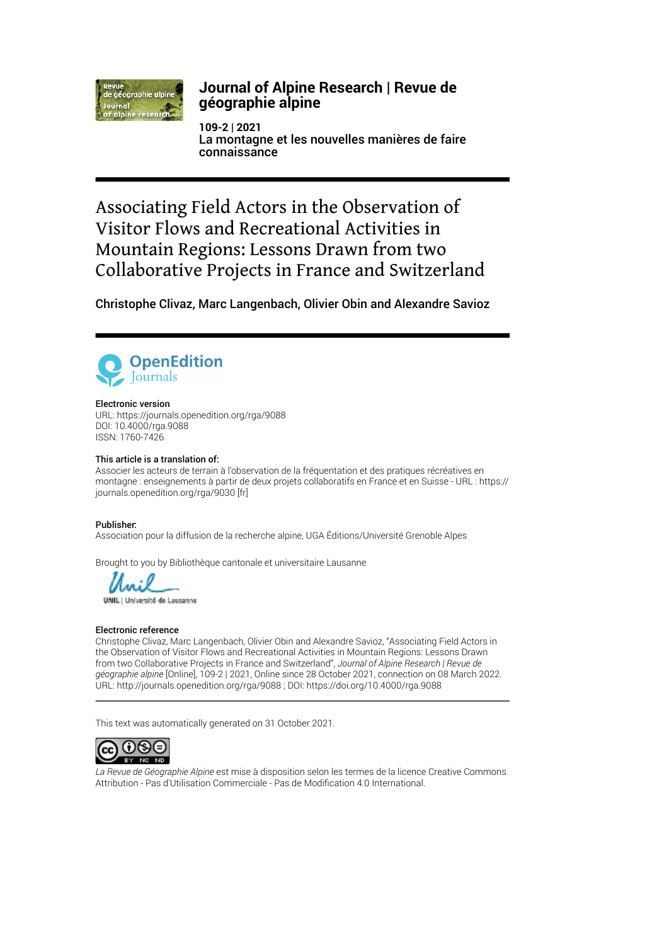

# **Journal of Alpine Research | Revue de géographie alpine**

**109-2 | 2021** La montagne et les nouvelles manières de faire connaissance

Associating Field Actors in the Observation of Visitor Flows and Recreational Activities in Mountain Regions: Lessons Drawn from two Collaborative Projects in France and Switzerland

Christophe Clivaz, Marc Langenbach, Olivier Obin and Alexandre Savioz



#### Electronic version

URL:<https://journals.openedition.org/rga/9088> DOI: 10.4000/rga.9088 ISSN: 1760-7426

#### This article is a translation of:

Associer les acteurs de terrain à l'observation de la fréquentation et des pratiques récréatives en montagne : enseignements à partir de deux projets collaboratifs en France et en Suisse - URL : [https://](https://journals.openedition.org/rga/9030) [journals.openedition.org/rga/9030](https://journals.openedition.org/rga/9030) [fr]

#### Publisher:

Association pour la diffusion de la recherche alpine, UGA Éditions/Université Grenoble Alpes

Brought to you by Bibliothèque cantonale et universitaire Lausanne

UNIL | Université de Lausanne

#### Electronic reference

Christophe Clivaz, Marc Langenbach, Olivier Obin and Alexandre Savioz, "Associating Field Actors in the Observation of Visitor Flows and Recreational Activities in Mountain Regions: Lessons Drawn from two Collaborative Projects in France and Switzerland", *Journal of Alpine Research | Revue de géographie alpine* [Online], 109-2 | 2021, Online since 28 October 2021, connection on 08 March 2022. URL: http://journals.openedition.org/rga/9088 ; DOI: https://doi.org/10.4000/rga.9088

This text was automatically generated on 31 October 2021.



*La Revue de Géographie Alpine* est mise à disposition selon les termes de la [licence Creative Commons](http://creativecommons.org/licenses/by-nc-nd/4.0/) [Attribution - Pas d'Utilisation Commerciale - Pas de Modi](http://creativecommons.org/licenses/by-nc-nd/4.0/)fication 4.0 International.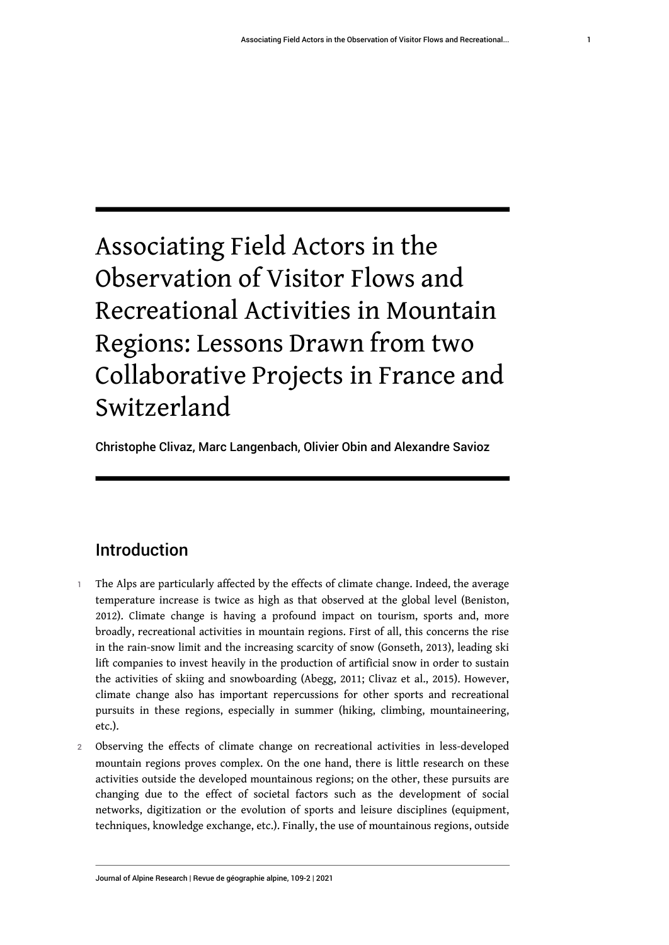# Associating Field Actors in the Observation of Visitor Flows and Recreational Activities in Mountain Regions: Lessons Drawn from two Collaborative Projects in France and Switzerland

Christophe Clivaz, Marc Langenbach, Olivier Obin and Alexandre Savioz

# Introduction

- 1 The Alps are particularly affected by the effects of climate change. Indeed, the average temperature increase is twice as high as that observed at the global level (Beniston, 2012). Climate change is having a profound impact on tourism, sports and, more broadly, recreational activities in mountain regions. First of all, this concerns the rise in the rain-snow limit and the increasing scarcity of snow (Gonseth, 2013), leading ski lift companies to invest heavily in the production of artificial snow in order to sustain the activities of skiing and snowboarding (Abegg, 2011; Clivaz et al., 2015). However, climate change also has important repercussions for other sports and recreational pursuits in these regions, especially in summer (hiking, climbing, mountaineering, etc.).
- 2 Observing the effects of climate change on recreational activities in less-developed mountain regions proves complex. On the one hand, there is little research on these activities outside the developed mountainous regions; on the other, these pursuits are changing due to the effect of societal factors such as the development of social networks, digitization or the evolution of sports and leisure disciplines (equipment, techniques, knowledge exchange, etc.). Finally, the use of mountainous regions, outside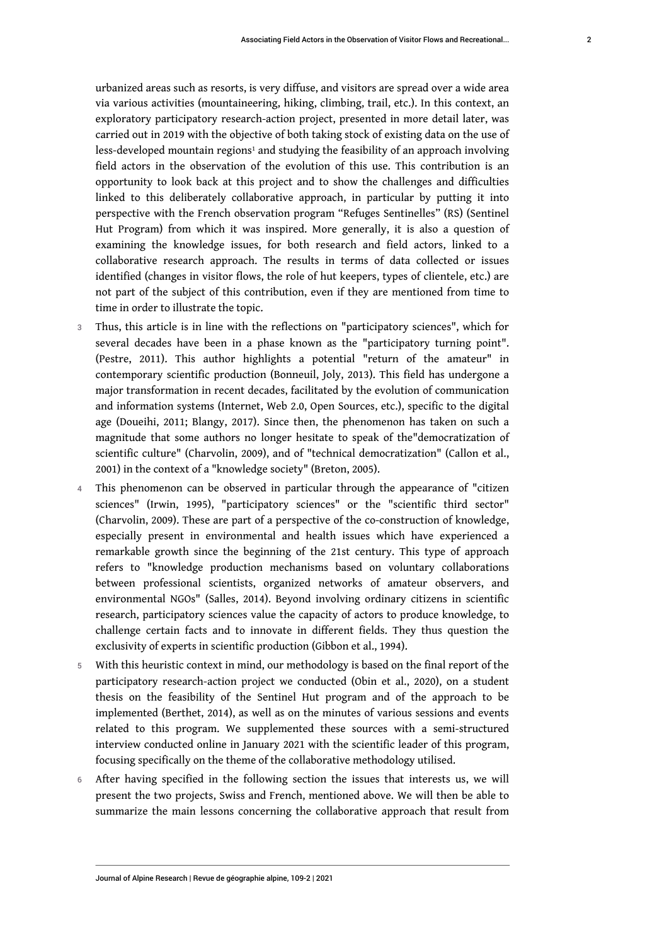<span id="page-2-0"></span>urbanized areas such as resorts, is very diffuse, and visitors are spread over a wide area via various activities (mountaineering, hiking, climbing, trail, etc.). In this context, an exploratory participatory research-action project, presented in more detail later, was carried out in 2019 with the objective of both taking stock of existing data on the use of less-developed mountain regions<sup>[1](#page-14-0)</sup> and studying the feasibility of an approach involving field actors in the observation of the evolution of this use. This contribution is an opportunity to look back at this project and to show the challenges and difficulties linked to this deliberately collaborative approach, in particular by putting it into perspective with the French observation program "Refuges Sentinelles" (RS) (Sentinel Hut Program) from which it was inspired. More generally, it is also a question of examining the knowledge issues, for both research and field actors, linked to a collaborative research approach. The results in terms of data collected or issues identified (changes in visitor flows, the role of hut keepers, types of clientele, etc.) are not part of the subject of this contribution, even if they are mentioned from time to time in order to illustrate the topic.

- 3 Thus, this article is in line with the reflections on "participatory sciences", which for several decades have been in a phase known as the "participatory turning point". (Pestre, 2011). This author highlights a potential "return of the amateur" in contemporary scientific production (Bonneuil, Joly, 2013). This field has undergone a major transformation in recent decades, facilitated by the evolution of communication and information systems (Internet, Web 2.0, Open Sources, etc.), specific to the digital age (Doueihi, 2011; Blangy, 2017). Since then, the phenomenon has taken on such a magnitude that some authors no longer hesitate to speak of the"democratization of scientific culture" (Charvolin, 2009), and of "technical democratization" (Callon et al., 2001) in the context of a "knowledge society" (Breton, 2005).
- 4 This phenomenon can be observed in particular through the appearance of "citizen sciences" (Irwin, 1995), "participatory sciences" or the "scientific third sector" (Charvolin, 2009). These are part of a perspective of the co-construction of knowledge, especially present in environmental and health issues which have experienced a remarkable growth since the beginning of the 21st century. This type of approach refers to "knowledge production mechanisms based on voluntary collaborations between professional scientists, organized networks of amateur observers, and environmental NGOs" (Salles, 2014). Beyond involving ordinary citizens in scientific research, participatory sciences value the capacity of actors to produce knowledge, to challenge certain facts and to innovate in different fields. They thus question the exclusivity of experts in scientific production (Gibbon et al., 1994).
- 5 With this heuristic context in mind, our methodology is based on the final report of the participatory research-action project we conducted (Obin et al., 2020), on a student thesis on the feasibility of the Sentinel Hut program and of the approach to be implemented (Berthet, 2014), as well as on the minutes of various sessions and events related to this program. We supplemented these sources with a semi-structured interview conducted online in January 2021 with the scientific leader of this program, focusing specifically on the theme of the collaborative methodology utilised.
- 6 After having specified in the following section the issues that interests us, we will present the two projects, Swiss and French, mentioned above. We will then be able to summarize the main lessons concerning the collaborative approach that result from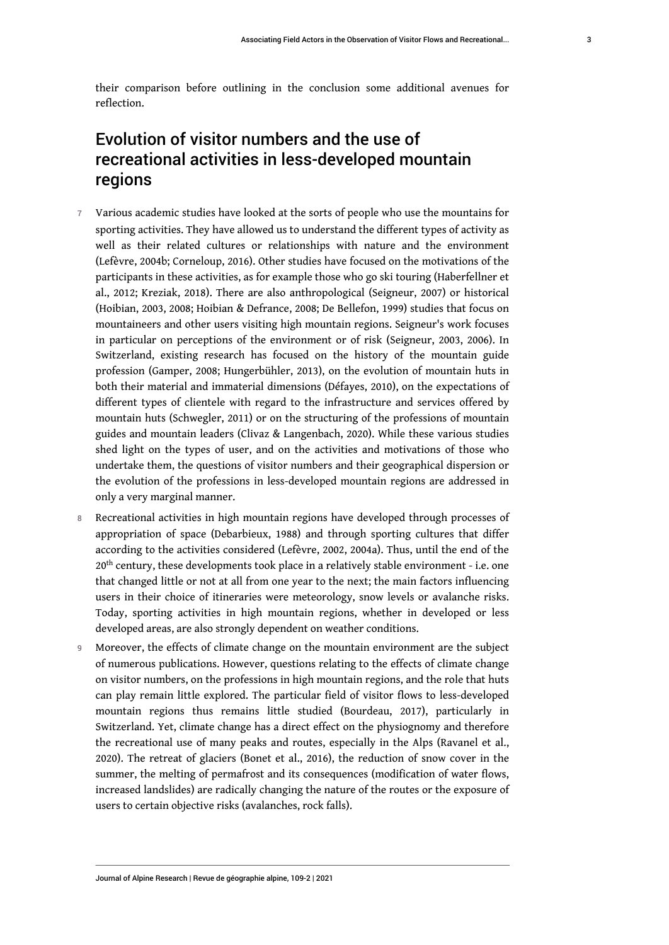# Evolution of visitor numbers and the use of recreational activities in less-developed mountain regions

- 7 Various academic studies have looked at the sorts of people who use the mountains for sporting activities. They have allowed us to understand the different types of activity as well as their related cultures or relationships with nature and the environment (Lefèvre, 2004b; Corneloup, 2016). Other studies have focused on the motivations of the participants in these activities, as for example those who go ski touring (Haberfellner et al., 2012; Kreziak, 2018). There are also anthropological (Seigneur, 2007) or historical (Hoibian, 2003, 2008; Hoibian & Defrance, 2008; De Bellefon, 1999) studies that focus on mountaineers and other users visiting high mountain regions. Seigneur's work focuses in particular on perceptions of the environment or of risk (Seigneur, 2003, 2006). In Switzerland, existing research has focused on the history of the mountain guide profession (Gamper, 2008; Hungerbühler, 2013), on the evolution of mountain huts in both their material and immaterial dimensions (Défayes, 2010), on the expectations of different types of clientele with regard to the infrastructure and services offered by mountain huts (Schwegler, 2011) or on the structuring of the professions of mountain guides and mountain leaders (Clivaz & Langenbach, 2020). While these various studies shed light on the types of user, and on the activities and motivations of those who undertake them, the questions of visitor numbers and their geographical dispersion or the evolution of the professions in less-developed mountain regions are addressed in only a very marginal manner.
- 8 Recreational activities in high mountain regions have developed through processes of appropriation of space (Debarbieux, 1988) and through sporting cultures that differ according to the activities considered (Lefèvre, 2002, 2004a). Thus, until the end of the 20<sup>th</sup> century, these developments took place in a relatively stable environment - i.e. one that changed little or not at all from one year to the next; the main factors influencing users in their choice of itineraries were meteorology, snow levels or avalanche risks. Today, sporting activities in high mountain regions, whether in developed or less developed areas, are also strongly dependent on weather conditions.
- 9 Moreover, the effects of climate change on the mountain environment are the subject of numerous publications. However, questions relating to the effects of climate change on visitor numbers, on the professions in high mountain regions, and the role that huts can play remain little explored. The particular field of visitor flows to less-developed mountain regions thus remains little studied (Bourdeau, 2017), particularly in Switzerland. Yet, climate change has a direct effect on the physiognomy and therefore the recreational use of many peaks and routes, especially in the Alps (Ravanel et al., 2020). The retreat of glaciers (Bonet et al., 2016), the reduction of snow cover in the summer, the melting of permafrost and its consequences (modification of water flows, increased landslides) are radically changing the nature of the routes or the exposure of users to certain objective risks (avalanches, rock falls).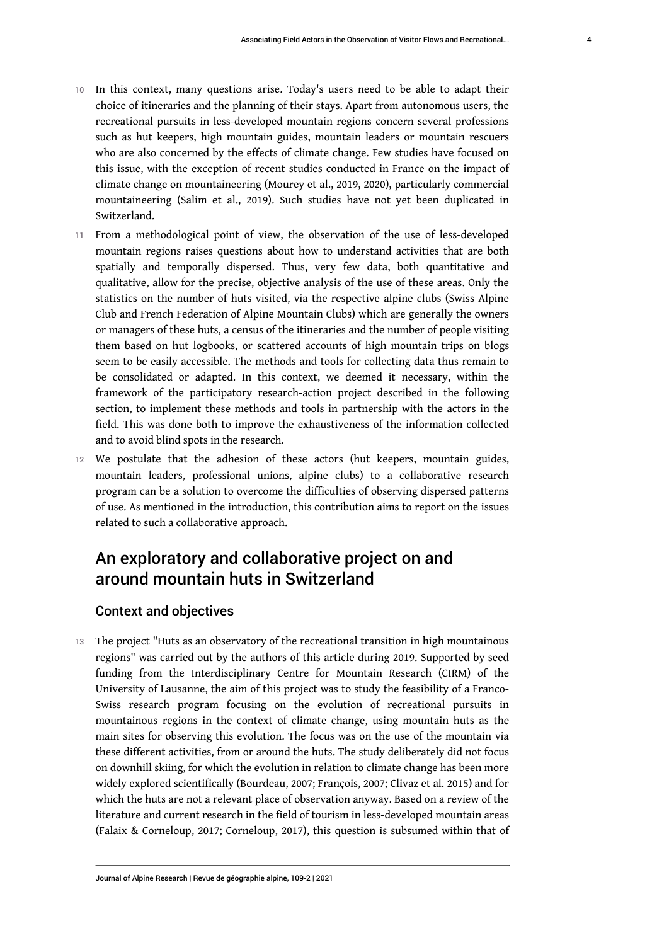- 10 In this context, many questions arise. Today's users need to be able to adapt their choice of itineraries and the planning of their stays. Apart from autonomous users, the recreational pursuits in less-developed mountain regions concern several professions such as hut keepers, high mountain guides, mountain leaders or mountain rescuers who are also concerned by the effects of climate change. Few studies have focused on this issue, with the exception of recent studies conducted in France on the impact of climate change on mountaineering (Mourey et al., 2019, 2020), particularly commercial mountaineering (Salim et al., 2019). Such studies have not yet been duplicated in Switzerland.
- 11 From a methodological point of view, the observation of the use of less-developed mountain regions raises questions about how to understand activities that are both spatially and temporally dispersed. Thus, very few data, both quantitative and qualitative, allow for the precise, objective analysis of the use of these areas. Only the statistics on the number of huts visited, via the respective alpine clubs (Swiss Alpine Club and French Federation of Alpine Mountain Clubs) which are generally the owners or managers of these huts, a census of the itineraries and the number of people visiting them based on hut logbooks, or scattered accounts of high mountain trips on blogs seem to be easily accessible. The methods and tools for collecting data thus remain to be consolidated or adapted. In this context, we deemed it necessary, within the framework of the participatory research-action project described in the following section, to implement these methods and tools in partnership with the actors in the field. This was done both to improve the exhaustiveness of the information collected and to avoid blind spots in the research.
- 12 We postulate that the adhesion of these actors (hut keepers, mountain guides, mountain leaders, professional unions, alpine clubs) to a collaborative research program can be a solution to overcome the difficulties of observing dispersed patterns of use. As mentioned in the introduction, this contribution aims to report on the issues related to such a collaborative approach.

# An exploratory and collaborative project on and around mountain huts in Switzerland

### Context and objectives

13 The project "Huts as an observatory of the recreational transition in high mountainous regions" was carried out by the authors of this article during 2019. Supported by seed funding from the Interdisciplinary Centre for Mountain Research (CIRM) of the University of Lausanne, the aim of this project was to study the feasibility of a Franco-Swiss research program focusing on the evolution of recreational pursuits in mountainous regions in the context of climate change, using mountain huts as the main sites for observing this evolution. The focus was on the use of the mountain via these different activities, from or around the huts. The study deliberately did not focus on downhill skiing, for which the evolution in relation to climate change has been more widely explored scientifically (Bourdeau, 2007; François, 2007; Clivaz et al. 2015) and for which the huts are not a relevant place of observation anyway. Based on a review of the literature and current research in the field of tourism in less-developed mountain areas (Falaix & Corneloup, 2017; Corneloup, 2017), this question is subsumed within that of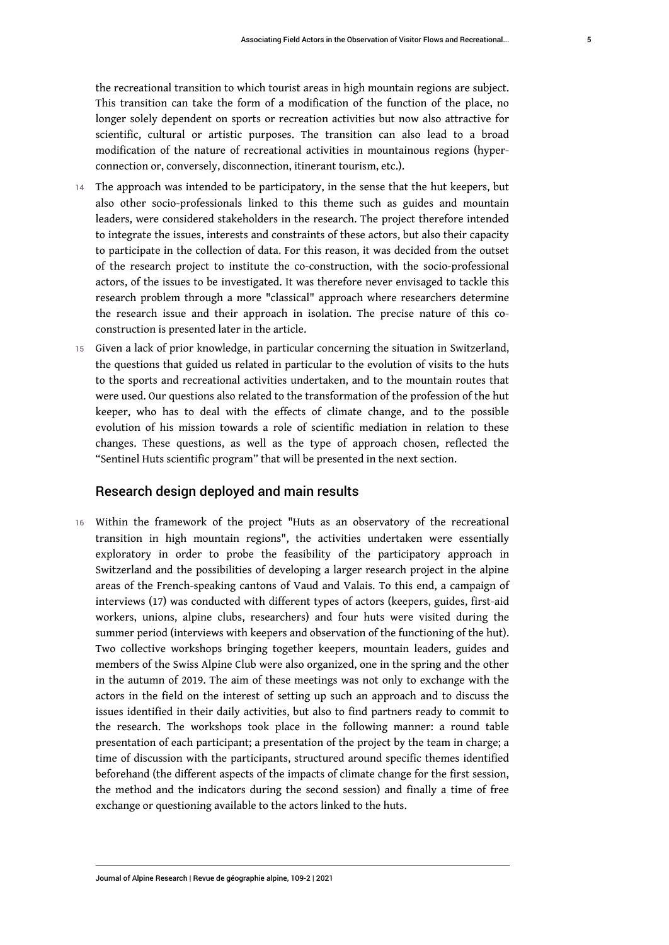the recreational transition to which tourist areas in high mountain regions are subject. This transition can take the form of a modification of the function of the place, no longer solely dependent on sports or recreation activities but now also attractive for scientific, cultural or artistic purposes. The transition can also lead to a broad modification of the nature of recreational activities in mountainous regions (hyperconnection or, conversely, disconnection, itinerant tourism, etc.).

- 14 The approach was intended to be participatory, in the sense that the hut keepers, but also other socio-professionals linked to this theme such as guides and mountain leaders, were considered stakeholders in the research. The project therefore intended to integrate the issues, interests and constraints of these actors, but also their capacity to participate in the collection of data. For this reason, it was decided from the outset of the research project to institute the co-construction, with the socio-professional actors, of the issues to be investigated. It was therefore never envisaged to tackle this research problem through a more "classical" approach where researchers determine the research issue and their approach in isolation. The precise nature of this coconstruction is presented later in the article.
- 15 Given a lack of prior knowledge, in particular concerning the situation in Switzerland, the questions that guided us related in particular to the evolution of visits to the huts to the sports and recreational activities undertaken, and to the mountain routes that were used. Our questions also related to the transformation of the profession of the hut keeper, who has to deal with the effects of climate change, and to the possible evolution of his mission towards a role of scientific mediation in relation to these changes. These questions, as well as the type of approach chosen, reflected the "Sentinel Huts scientific program" that will be presented in the next section.

### Research design deployed and main results

16 Within the framework of the project "Huts as an observatory of the recreational transition in high mountain regions", the activities undertaken were essentially exploratory in order to probe the feasibility of the participatory approach in Switzerland and the possibilities of developing a larger research project in the alpine areas of the French-speaking cantons of Vaud and Valais. To this end, a campaign of interviews (17) was conducted with different types of actors (keepers, guides, first-aid workers, unions, alpine clubs, researchers) and four huts were visited during the summer period (interviews with keepers and observation of the functioning of the hut). Two collective workshops bringing together keepers, mountain leaders, guides and members of the Swiss Alpine Club were also organized, one in the spring and the other in the autumn of 2019. The aim of these meetings was not only to exchange with the actors in the field on the interest of setting up such an approach and to discuss the issues identified in their daily activities, but also to find partners ready to commit to the research. The workshops took place in the following manner: a round table presentation of each participant; a presentation of the project by the team in charge; a time of discussion with the participants, structured around specific themes identified beforehand (the different aspects of the impacts of climate change for the first session, the method and the indicators during the second session) and finally a time of free exchange or questioning available to the actors linked to the huts.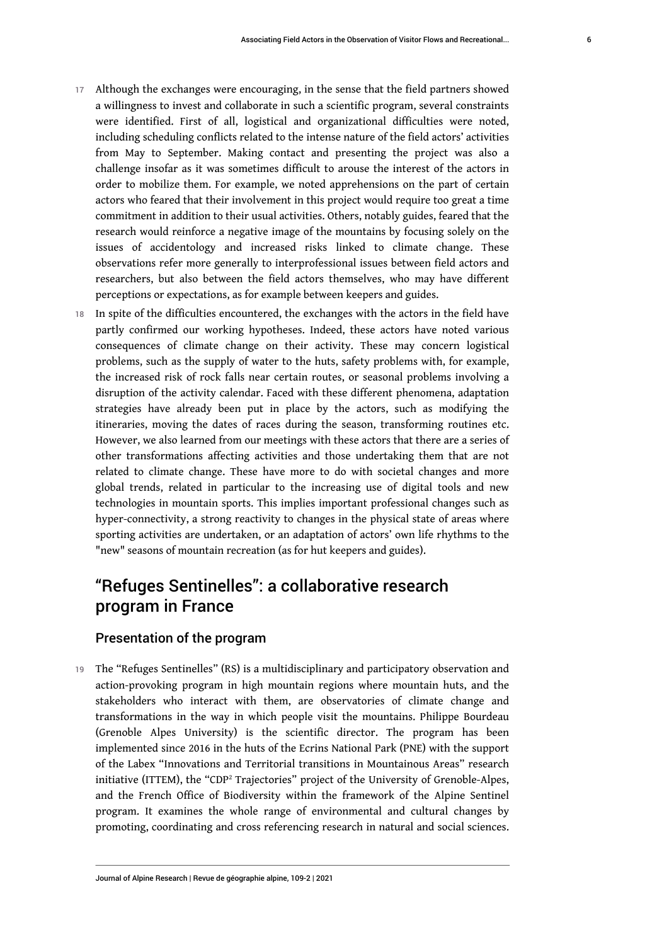- 17 Although the exchanges were encouraging, in the sense that the field partners showed a willingness to invest and collaborate in such a scientific program, several constraints were identified. First of all, logistical and organizational difficulties were noted, including scheduling conflicts related to the intense nature of the field actors' activities from May to September. Making contact and presenting the project was also a challenge insofar as it was sometimes difficult to arouse the interest of the actors in order to mobilize them. For example, we noted apprehensions on the part of certain actors who feared that their involvement in this project would require too great a time commitment in addition to their usual activities. Others, notably guides, feared that the research would reinforce a negative image of the mountains by focusing solely on the issues of accidentology and increased risks linked to climate change. These observations refer more generally to interprofessional issues between field actors and researchers, but also between the field actors themselves, who may have different perceptions or expectations, as for example between keepers and guides.
- 18 In spite of the difficulties encountered, the exchanges with the actors in the field have partly confirmed our working hypotheses. Indeed, these actors have noted various consequences of climate change on their activity. These may concern logistical problems, such as the supply of water to the huts, safety problems with, for example, the increased risk of rock falls near certain routes, or seasonal problems involving a disruption of the activity calendar. Faced with these different phenomena, adaptation strategies have already been put in place by the actors, such as modifying the itineraries, moving the dates of races during the season, transforming routines etc. However, we also learned from our meetings with these actors that there are a series of other transformations affecting activities and those undertaking them that are not related to climate change. These have more to do with societal changes and more global trends, related in particular to the increasing use of digital tools and new technologies in mountain sports. This implies important professional changes such as hyper-connectivity, a strong reactivity to changes in the physical state of areas where sporting activities are undertaken, or an adaptation of actors' own life rhythms to the "new" seasons of mountain recreation (as for hut keepers and guides).

# "Refuges Sentinelles": a collaborative research program in France

### Presentation of the program

<span id="page-6-0"></span>19 The "Refuges Sentinelles" (RS) is a multidisciplinary and participatory observation and action-provoking program in high mountain regions where mountain huts, and the stakeholders who interact with them, are observatories of climate change and transformations in the way in which people visit the mountains. Philippe Bourdeau (Grenoble Alpes University) is the scientific director. The program has been implemented since 2016 in the huts of the Ecrins National Park (PNE) with the support of the Labex "Innovations and Territorial transitions in Mountainous Areas" research initiative (ITTEM), the "CDP[2](#page-14-1) Trajectories" project of the University of Grenoble-Alpes, and the French Office of Biodiversity within the framework of the Alpine Sentinel program. It examines the whole range of environmental and cultural changes by promoting, coordinating and cross referencing research in natural and social sciences.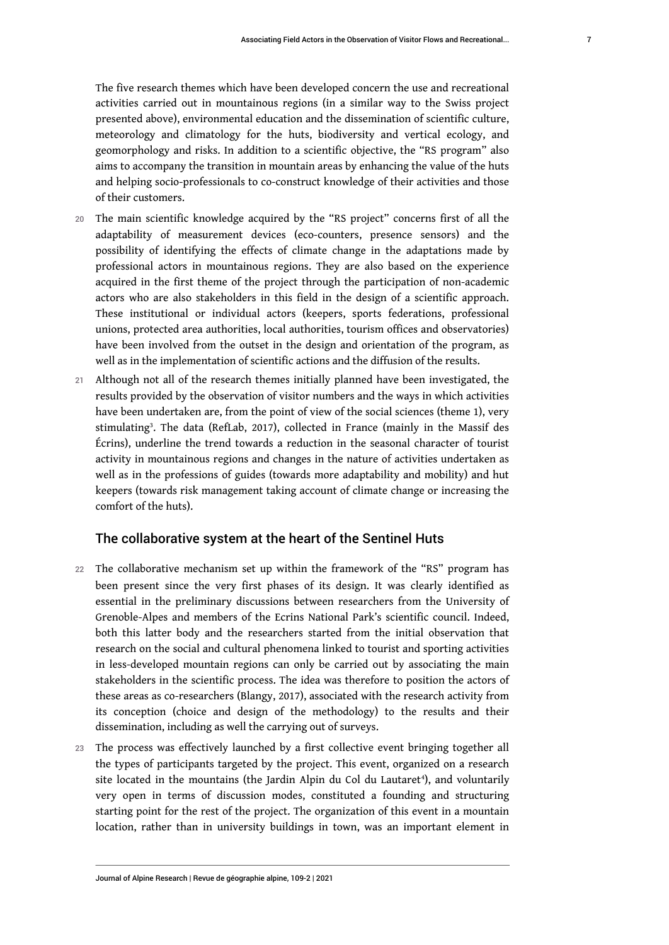The five research themes which have been developed concern the use and recreational activities carried out in mountainous regions (in a similar way to the Swiss project presented above), environmental education and the dissemination of scientific culture, meteorology and climatology for the huts, biodiversity and vertical ecology, and geomorphology and risks. In addition to a scientific objective, the "RS program" also aims to accompany the transition in mountain areas by enhancing the value of the huts and helping socio-professionals to co-construct knowledge of their activities and those of their customers.

- 20 The main scientific knowledge acquired by the "RS project" concerns first of all the adaptability of measurement devices (eco-counters, presence sensors) and the possibility of identifying the effects of climate change in the adaptations made by professional actors in mountainous regions. They are also based on the experience acquired in the first theme of the project through the participation of non-academic actors who are also stakeholders in this field in the design of a scientific approach. These institutional or individual actors (keepers, sports federations, professional unions, protected area authorities, local authorities, tourism offices and observatories) have been involved from the outset in the design and orientation of the program, as well as in the implementation of scientific actions and the diffusion of the results.
- <span id="page-7-0"></span>21 Although not all of the research themes initially planned have been investigated, the results provided by the observation of visitor numbers and the ways in which activities have been undertaken are, from the point of view of the social sciences (theme 1), very stimulating[3](#page-14-2) . The data (RefLab, 2017), collected in France (mainly in the Massif des Écrins), underline the trend towards a reduction in the seasonal character of tourist activity in mountainous regions and changes in the nature of activities undertaken as well as in the professions of guides (towards more adaptability and mobility) and hut keepers (towards risk management taking account of climate change or increasing the comfort of the huts).

### The collaborative system at the heart of the Sentinel Huts

- 22 The collaborative mechanism set up within the framework of the "RS" program has been present since the very first phases of its design. It was clearly identified as essential in the preliminary discussions between researchers from the University of Grenoble-Alpes and members of the Ecrins National Park's scientific council. Indeed, both this latter body and the researchers started from the initial observation that research on the social and cultural phenomena linked to tourist and sporting activities in less-developed mountain regions can only be carried out by associating the main stakeholders in the scientific process. The idea was therefore to position the actors of these areas as co-researchers (Blangy, 2017), associated with the research activity from its conception (choice and design of the methodology) to the results and their dissemination, including as well the carrying out of surveys.
- <span id="page-7-1"></span>23 The process was effectively launched by a first collective event bringing together all the types of participants targeted by the project. This event, organized on a research site located in the mountains (the Jardin Alpin du Col du Lautaret<sup>[4](#page-14-3)</sup>), and voluntarily very open in terms of discussion modes, constituted a founding and structuring starting point for the rest of the project. The organization of this event in a mountain location, rather than in university buildings in town, was an important element in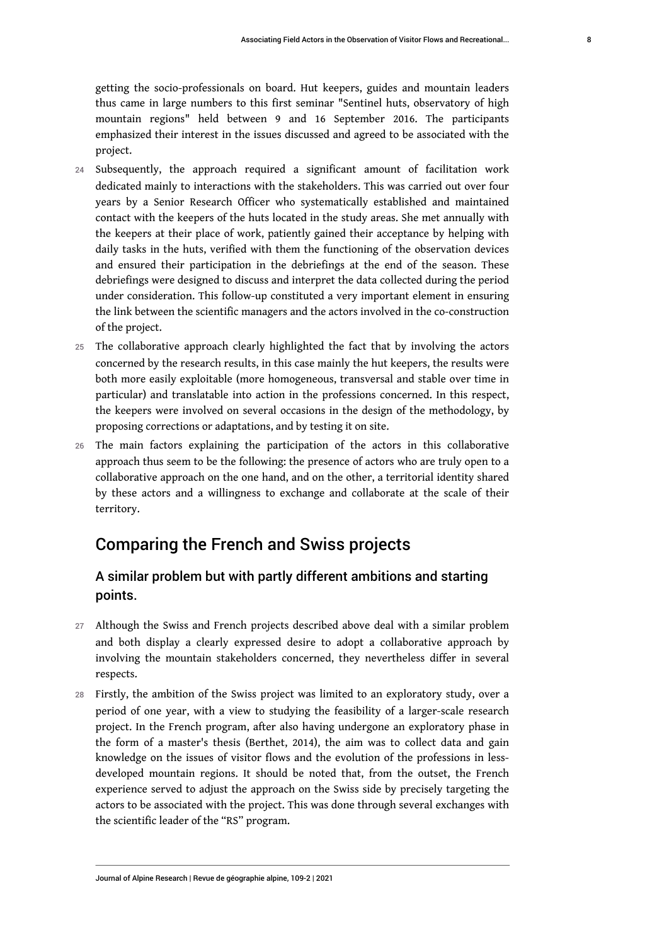getting the socio-professionals on board. Hut keepers, guides and mountain leaders thus came in large numbers to this first seminar "Sentinel huts, observatory of high mountain regions" held between 9 and 16 September 2016. The participants emphasized their interest in the issues discussed and agreed to be associated with the project.

- 24 Subsequently, the approach required a significant amount of facilitation work dedicated mainly to interactions with the stakeholders. This was carried out over four years by a Senior Research Officer who systematically established and maintained contact with the keepers of the huts located in the study areas. She met annually with the keepers at their place of work, patiently gained their acceptance by helping with daily tasks in the huts, verified with them the functioning of the observation devices and ensured their participation in the debriefings at the end of the season. These debriefings were designed to discuss and interpret the data collected during the period under consideration. This follow-up constituted a very important element in ensuring the link between the scientific managers and the actors involved in the co-construction of the project.
- 25 The collaborative approach clearly highlighted the fact that by involving the actors concerned by the research results, in this case mainly the hut keepers, the results were both more easily exploitable (more homogeneous, transversal and stable over time in particular) and translatable into action in the professions concerned. In this respect, the keepers were involved on several occasions in the design of the methodology, by proposing corrections or adaptations, and by testing it on site.
- 26 The main factors explaining the participation of the actors in this collaborative approach thus seem to be the following: the presence of actors who are truly open to a collaborative approach on the one hand, and on the other, a territorial identity shared by these actors and a willingness to exchange and collaborate at the scale of their territory.

# Comparing the French and Swiss projects

# A similar problem but with partly different ambitions and starting points.

- 27 Although the Swiss and French projects described above deal with a similar problem and both display a clearly expressed desire to adopt a collaborative approach by involving the mountain stakeholders concerned, they nevertheless differ in several respects.
- 28 Firstly, the ambition of the Swiss project was limited to an exploratory study, over a period of one year, with a view to studying the feasibility of a larger-scale research project. In the French program, after also having undergone an exploratory phase in the form of a master's thesis (Berthet, 2014), the aim was to collect data and gain knowledge on the issues of visitor flows and the evolution of the professions in lessdeveloped mountain regions. It should be noted that, from the outset, the French experience served to adjust the approach on the Swiss side by precisely targeting the actors to be associated with the project. This was done through several exchanges with the scientific leader of the "RS" program.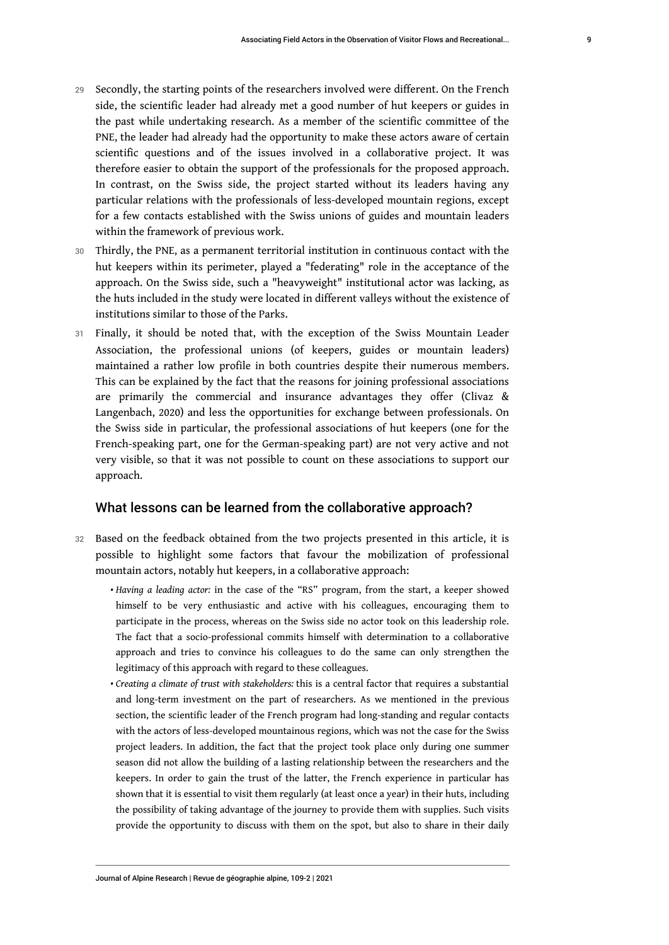- 29 Secondly, the starting points of the researchers involved were different. On the French side, the scientific leader had already met a good number of hut keepers or guides in the past while undertaking research. As a member of the scientific committee of the PNE, the leader had already had the opportunity to make these actors aware of certain scientific questions and of the issues involved in a collaborative project. It was therefore easier to obtain the support of the professionals for the proposed approach. In contrast, on the Swiss side, the project started without its leaders having any particular relations with the professionals of less-developed mountain regions, except for a few contacts established with the Swiss unions of guides and mountain leaders within the framework of previous work.
- 30 Thirdly, the PNE, as a permanent territorial institution in continuous contact with the hut keepers within its perimeter, played a "federating" role in the acceptance of the approach. On the Swiss side, such a "heavyweight" institutional actor was lacking, as the huts included in the study were located in different valleys without the existence of institutions similar to those of the Parks.
- 31 Finally, it should be noted that, with the exception of the Swiss Mountain Leader Association, the professional unions (of keepers, guides or mountain leaders) maintained a rather low profile in both countries despite their numerous members. This can be explained by the fact that the reasons for joining professional associations are primarily the commercial and insurance advantages they offer (Clivaz & Langenbach, 2020) and less the opportunities for exchange between professionals. On the Swiss side in particular, the professional associations of hut keepers (one for the French-speaking part, one for the German-speaking part) are not very active and not very visible, so that it was not possible to count on these associations to support our approach.

### What lessons can be learned from the collaborative approach?

- 32 Based on the feedback obtained from the two projects presented in this article, it is possible to highlight some factors that favour the mobilization of professional mountain actors, notably hut keepers, in a collaborative approach:
	- *Having a leading actor:* in the case of the "RS" program, from the start, a keeper showed himself to be very enthusiastic and active with his colleagues, encouraging them to participate in the process, whereas on the Swiss side no actor took on this leadership role. The fact that a socio-professional commits himself with determination to a collaborative approach and tries to convince his colleagues to do the same can only strengthen the legitimacy of this approach with regard to these colleagues.
	- *Creating a climate of trust with stakeholders:* this is a central factor that requires a substantial and long-term investment on the part of researchers. As we mentioned in the previous section, the scientific leader of the French program had long-standing and regular contacts with the actors of less-developed mountainous regions, which was not the case for the Swiss project leaders. In addition, the fact that the project took place only during one summer season did not allow the building of a lasting relationship between the researchers and the keepers. In order to gain the trust of the latter, the French experience in particular has shown that it is essential to visit them regularly (at least once a year) in their huts, including the possibility of taking advantage of the journey to provide them with supplies. Such visits provide the opportunity to discuss with them on the spot, but also to share in their daily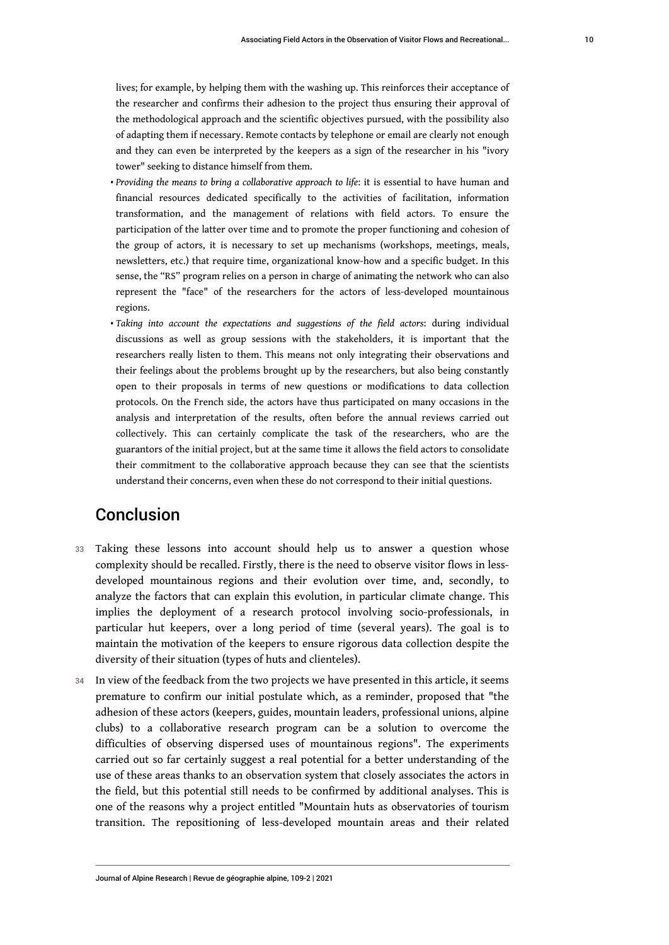lives; for example, by helping them with the washing up. This reinforces their acceptance of the researcher and confirms their adhesion to the project thus ensuring their approval of the methodological approach and the scientific objectives pursued, with the possibility also of adapting them if necessary. Remote contacts by telephone or email are clearly not enough and they can even be interpreted by the keepers as a sign of the researcher in his "ivory tower" seeking to distance himself from them.

- *Providing the means to bring a collaborative approach to life*: it is essential to have human and financial resources dedicated specifically to the activities of facilitation, information transformation, and the management of relations with field actors. To ensure the participation of the latter over time and to promote the proper functioning and cohesion of the group of actors, it is necessary to set up mechanisms (workshops, meetings, meals, newsletters, etc.) that require time, organizational know-how and a specific budget. In this sense, the "RS" program relies on a person in charge of animating the network who can also represent the "face" of the researchers for the actors of less-developed mountainous regions.
- *Taking into account the expectations and suggestions of the field actors*: during individual discussions as well as group sessions with the stakeholders, it is important that the researchers really listen to them. This means not only integrating their observations and their feelings about the problems brought up by the researchers, but also being constantly open to their proposals in terms of new questions or modifications to data collection protocols. On the French side, the actors have thus participated on many occasions in the analysis and interpretation of the results, often before the annual reviews carried out collectively. This can certainly complicate the task of the researchers, who are the guarantors of the initial project, but at the same time it allows the field actors to consolidate their commitment to the collaborative approach because they can see that the scientists understand their concerns, even when these do not correspond to their initial questions.

# Conclusion

- 33 Taking these lessons into account should help us to answer a question whose complexity should be recalled. Firstly, there is the need to observe visitor flows in lessdeveloped mountainous regions and their evolution over time, and, secondly, to analyze the factors that can explain this evolution, in particular climate change. This implies the deployment of a research protocol involving socio-professionals, in particular hut keepers, over a long period of time (several years). The goal is to maintain the motivation of the keepers to ensure rigorous data collection despite the diversity of their situation (types of huts and clienteles).
- 34 In view of the feedback from the two projects we have presented in this article, it seems premature to confirm our initial postulate which, as a reminder, proposed that "the adhesion of these actors (keepers, guides, mountain leaders, professional unions, alpine clubs) to a collaborative research program can be a solution to overcome the difficulties of observing dispersed uses of mountainous regions". The experiments carried out so far certainly suggest a real potential for a better understanding of the use of these areas thanks to an observation system that closely associates the actors in the field, but this potential still needs to be confirmed by additional analyses. This is one of the reasons why a project entitled "Mountain huts as observatories of tourism transition. The repositioning of less-developed mountain areas and their related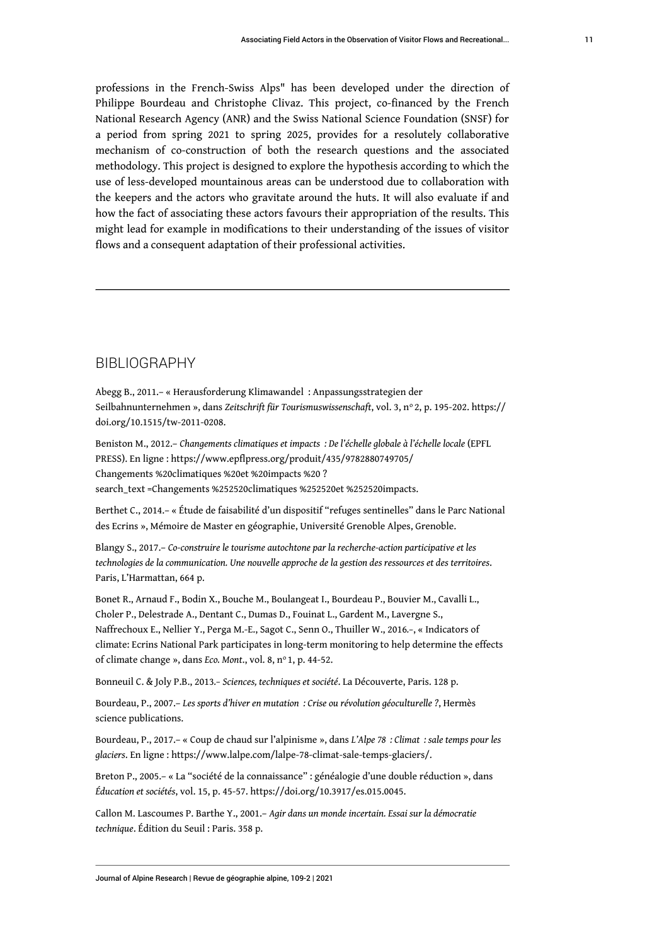professions in the French-Swiss Alps" has been developed under the direction of Philippe Bourdeau and Christophe Clivaz. This project, co-financed by the French National Research Agency (ANR) and the Swiss National Science Foundation (SNSF) for a period from spring 2021 to spring 2025, provides for a resolutely collaborative mechanism of co-construction of both the research questions and the associated methodology. This project is designed to explore the hypothesis according to which the use of less-developed mountainous areas can be understood due to collaboration with the keepers and the actors who gravitate around the huts. It will also evaluate if and how the fact of associating these actors favours their appropriation of the results. This might lead for example in modifications to their understanding of the issues of visitor flows and a consequent adaptation of their professional activities.

### BIBLIOGRAPHY

Abegg B., 2011.– « Herausforderung Klimawandel : Anpassungsstrategien der Seilbahnunternehmen », dans Zeitschrift für Tourismuswissenschaft, vol. 3, n° 2, p. 195-202. [https://](https://doi.org/10.1515/tw-2011-0208) [doi.org/10.1515/tw-2011-0208.](https://doi.org/10.1515/tw-2011-0208)

Beniston M., 2012.– *Changements climatiques et impacts : De l'échelle globale à l'échelle locale* (EPFL PRESS). En ligne : [https://www.epflpress.org/produit/435/9782880749705/](https://www.epflpress.org/produit/435/9782880749705/Changements%20climatiques%20et%20impacts%20?search_text=Changements%252520climatiques%252520et%252520impacts) [Changements %20climatiques %20et %20impacts %20 ?](https://www.epflpress.org/produit/435/9782880749705/Changements%20climatiques%20et%20impacts%20?search_text=Changements%252520climatiques%252520et%252520impacts) [search\\_text =Changements %252520climatiques %252520et %252520impacts.](https://www.epflpress.org/produit/435/9782880749705/Changements%20climatiques%20et%20impacts%20?search_text=Changements%252520climatiques%252520et%252520impacts)

Berthet C., 2014.– « Étude de faisabilité d'un dispositif "refuges sentinelles" dans le Parc National des Ecrins », Mémoire de Master en géographie, Université Grenoble Alpes, Grenoble.

Blangy S., 2017.– *Co-construire le tourisme autochtone par la recherche-action participative et les technologies de la communication. Une nouvelle approche de la gestion des ressources et des territoires*. Paris, L'Harmattan, 664 p.

Bonet R., Arnaud F., Bodin X., Bouche M., Boulangeat I., Bourdeau P., Bouvier M., Cavalli L., Choler P., Delestrade A., Dentant C., Dumas D., Fouinat L., Gardent M., Lavergne S., Naffrechoux E., Nellier Y., Perga M.-E., Sagot C., Senn O., Thuiller W., 2016*.–*, « Indicators of climate: Ecrins National Park participates in long-term monitoring to help determine the effects of climate change », dans *Eco. Mont.*, vol. 8, nº 1, p. 44-52.

Bonneuil C. & Joly P.B., 2013*.– Sciences, techniques et société*. La Découverte, Paris. 128 p.

Bourdeau, P., 2007.– *Les sports d'hiver en mutation : Crise ou révolution géoculturelle ?*, Hermès science publications.

Bourdeau, P., 2017.– « Coup de chaud sur l'alpinisme », dans *L'Alpe 78 : Climat : sale temps pour les glaciers*. En ligne : [https://www.lalpe.com/lalpe-78-climat-sale-temps-glaciers/.](https://www.lalpe.com/lalpe-78-climat-sale-temps-glaciers/)

Breton P., 2005.– « La "société de la connaissance" : généalogie d'une double réduction », dans *Éducation et sociétés*, vol. 15, p. 45-57. [https://doi.org/10.3917/es.015.0045.](https://doi.org/10.3917/es.015.0045)

Callon M. Lascoumes P. Barthe Y., 2001.– *Agir dans un monde incertain. Essai sur la démocratie technique*. Édition du Seuil : Paris. 358 p.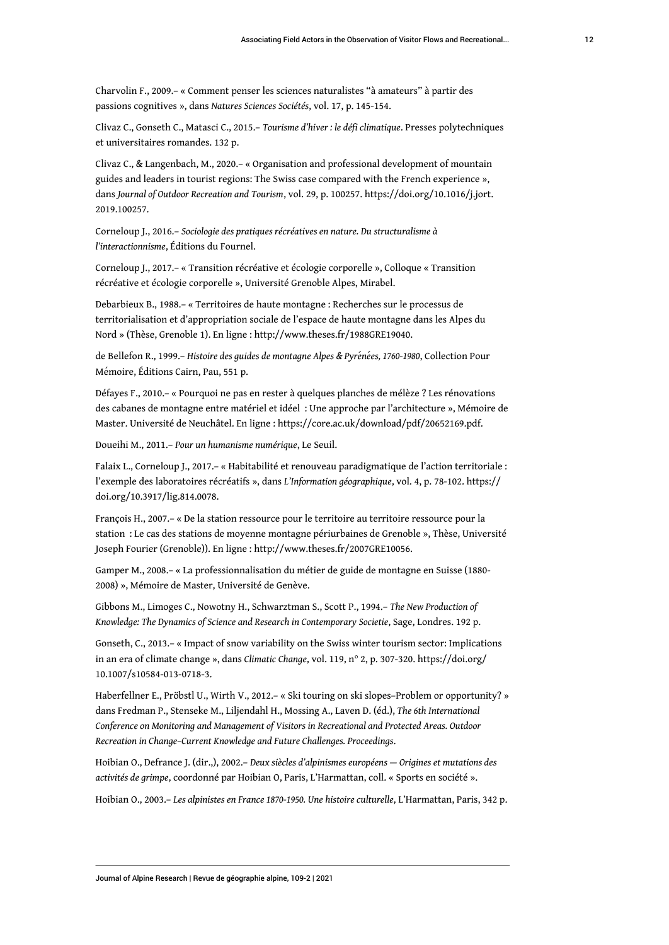Charvolin F., 2009.– « Comment penser les sciences naturalistes "à amateurs" à partir des passions cognitives », dans *Natures Sciences Sociétés*, vol. 17, p. 145-154.

Clivaz C., Gonseth C., Matasci C., 2015.– *Tourisme d'hiver : le défi climatique*. Presses polytechniques et universitaires romandes. 132 p.

Clivaz C., & Langenbach, M., 2020.– « Organisation and professional development of mountain guides and leaders in tourist regions: The Swiss case compared with the French experience », dans *Journal of Outdoor Recreation and Tourism*, vol. 29, p. 100257. [https://doi.org/10.1016/j.jort.](https://doi.org/10.1016/j.jort.2019.100257) [2019.100257](https://doi.org/10.1016/j.jort.2019.100257).

Corneloup J., 2016.– *Sociologie des pratiques récréatives en nature. Du structuralisme à l'interactionnisme*, Éditions du Fournel.

Corneloup J., 2017.– « Transition récréative et écologie corporelle », Colloque « Transition récréative et écologie corporelle », Université Grenoble Alpes, Mirabel.

Debarbieux B., 1988.– « Territoires de haute montagne : Recherches sur le processus de territorialisation et d'appropriation sociale de l'espace de haute montagne dans les Alpes du Nord » (Thèse, Grenoble 1). En ligne :<http://www.theses.fr/1988GRE19040>.

de Bellefon R., 1999.– *Histoire des guides de montagne Alpes & Pyrénées, 1760-1980*, Collection Pour Mémoire, Éditions Cairn, Pau, 551 p.

Défayes F., 2010.– « Pourquoi ne pas en rester à quelques planches de mélèze ? Les rénovations des cabanes de montagne entre matériel et idéel : Une approche par l'architecture », Mémoire de Master. Université de Neuchâtel. En ligne : [https://core.ac.uk/download/pdf/20652169.pdf.](https://core.ac.uk/download/pdf/20652169.pdf)

Doueihi M., 2011.– *Pour un humanisme numérique*, Le Seuil.

Falaix L., Corneloup J., 2017.– « Habitabilité et renouveau paradigmatique de l'action territoriale : l'exemple des laboratoires récréatifs », dans *L'Information géographique*, vol. 4, p. 78-102. [https://](https://doi.org/10.3917/lig.814.0078) [doi.org/10.3917/lig.814.0078.](https://doi.org/10.3917/lig.814.0078)

François H., 2007.– « De la station ressource pour le territoire au territoire ressource pour la station : Le cas des stations de moyenne montagne périurbaines de Grenoble », Thèse, Université Joseph Fourier (Grenoble)). En ligne :<http://www.theses.fr/2007GRE10056>.

Gamper M., 2008.– « La professionnalisation du métier de guide de montagne en Suisse (1880- 2008) », Mémoire de Master, Université de Genève.

Gibbons M., Limoges C., Nowotny H., Schwarztman S., Scott P., 1994.– *The New Production of Knowledge: The Dynamics of Science and Research in Contemporary Societie*, Sage, Londres. 192 p.

Gonseth, C., 2013.– « Impact of snow variability on the Swiss winter tourism sector: Implications in an era of climate change », dans *Climatic Change*, vol. 119, n° 2, p. 307-320. [https://doi.org/](https://doi.org/10.1007/s10584-013-0718-3) [10.1007/s10584-013-0718-3.](https://doi.org/10.1007/s10584-013-0718-3)

Haberfellner E., Pröbstl U., Wirth V., 2012.– « Ski touring on ski slopes–Problem or opportunity? » dans Fredman P., Stenseke M., Liljendahl H., Mossing A., Laven D. (éd.), *The 6th International Conference on Monitoring and Management of Visitors in Recreational and Protected Areas. Outdoor Recreation in Change–Current Knowledge and Future Challenges. Proceedings*.

Hoibian O., Defrance J. (dir.,), 2002.– *Deux siècles d'alpinismes européens — Origines et mutations des activités de grimpe*, coordonné par Hoibian O, Paris, L'Harmattan, coll. « Sports en société ».

Hoibian O., 2003.– *Les alpinistes en France 1870-1950. Une histoire culturelle*, L'Harmattan, Paris, 342 p.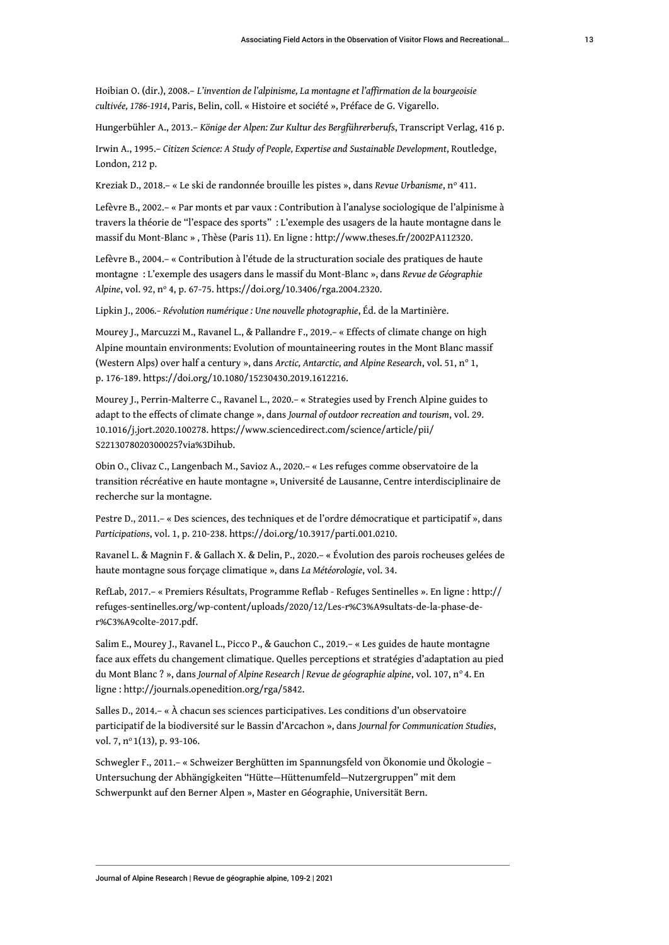Hoibian O. (dir.), 2008.– *L'invention de l'alpinisme, La montagne et l'affirmation de la bourgeoisie cultivée, 1786-1914*, Paris, Belin, coll. « Histoire et société », Préface de G. Vigarello.

Hungerbühler A., 2013.– *Könige der Alpen: Zur Kultur des Bergführerberufs*, Transcript Verlag, 416 p.

Irwin A., 1995.– *Citizen Science: A Study of People, Expertise and Sustainable Development*, Routledge, London, 212 p.

Kreziak D., 2018.– « Le ski de randonnée brouille les pistes », dans *Revue Urbanisme*, n° 411.

Lefèvre B., 2002.– « Par monts et par vaux : Contribution à l'analyse sociologique de l'alpinisme à travers la théorie de "l'espace des sports" : L'exemple des usagers de la haute montagne dans le massif du Mont-Blanc » , Thèse (Paris 11). En ligne : [http://www.theses.fr/2002PA112320.](http://www.theses.fr/2002PA112320)

Lefèvre B., 2004.– « Contribution à l'étude de la structuration sociale des pratiques de haute montagne : L'exemple des usagers dans le massif du Mont-Blanc », dans *Revue de Géographie Alpine*, vol. 92, n<sup>o</sup> 4, p. 67‑75. [https://doi.org/10.3406/rga.2004.2320.](https://doi.org/10.3406/rga.2004.2320)

Lipkin J., 2006*.– Révolution numérique : Une nouvelle photographie*, Éd. de la Martinière.

Mourey J., Marcuzzi M., Ravanel L., & Pallandre F., 2019.– « Effects of climate change on high Alpine mountain environments: Evolution of mountaineering routes in the Mont Blanc massif (Western Alps) over half a century », dans *Arctic, Antarctic, and Alpine Research*, vol. 51, n° 1, p. 176‑189. [https://doi.org/10.1080/15230430.2019.1612216.](https://doi.org/10.1080/15230430.2019.1612216)

Mourey J., Perrin-Malterre C., Ravanel L., 2020.– « Strategies used by French Alpine guides to adapt to the effects of climate change », dans *Journal of outdoor recreation and tourism*, vol. 29. 10.1016/j.jort.2020.100278. [https://www.sciencedirect.com/science/article/pii/](https://www.sciencedirect.com/science/article/pii/S2213078020300025?via%3Dihub) [S2213078020300025?via%3Dihub](https://www.sciencedirect.com/science/article/pii/S2213078020300025?via%3Dihub).

Obin O., Clivaz C., Langenbach M., Savioz A., 2020.– « Les refuges comme observatoire de la transition récréative en haute montagne », Université de Lausanne, Centre interdisciplinaire de recherche sur la montagne.

Pestre D., 2011.– « Des sciences, des techniques et de l'ordre démocratique et participatif », dans *Participations*, vol. 1, p. 210-238.<https://doi.org/10.3917/parti.001.0210>.

Ravanel L. & Magnin F. & Gallach X. & Delin, P., 2020.– « Évolution des parois rocheuses gelées de haute montagne sous forçage climatique », dans *La Météorologie*, vol. 34.

RefLab, 2017.– « Premiers Résultats, Programme Reflab - Refuges Sentinelles ». En ligne : [http://](http://refuges-sentinelles.org/wp-content/uploads/2020/12/Les-r%C3%A9sultats-de-la-phase-de-r%C3%A9colte-2017.pdf) [refuges-sentinelles.org/wp-content/uploads/2020/12/Les-r%C3%A9sultats-de-la-phase-de](http://refuges-sentinelles.org/wp-content/uploads/2020/12/Les-r%C3%A9sultats-de-la-phase-de-r%C3%A9colte-2017.pdf)[r%C3%A9colte-2017.pdf.](http://refuges-sentinelles.org/wp-content/uploads/2020/12/Les-r%C3%A9sultats-de-la-phase-de-r%C3%A9colte-2017.pdf)

Salim E., Mourey J., Ravanel L., Picco P., & Gauchon C., 2019.– « Les guides de haute montagne face aux effets du changement climatique. Quelles perceptions et stratégies d'adaptation au pied du Mont Blanc ? », dans *Journal of Alpine Research | Revue de géographie alpine*, vol. 107, n° 4. En ligne : [http://journals.openedition.org/rga/5842.](http://journals.openedition.org/rga/5842)

Salles D., 2014.– « À chacun ses sciences participatives. Les conditions d'un observatoire participatif de la biodiversité sur le Bassin d'Arcachon », dans *Journal for Communication Studies*, vol. 7, nº 1(13), p. 93-106.

Schwegler F., 2011.– « Schweizer Berghütten im Spannungsfeld von Ökonomie und Ökologie – Untersuchung der Abhängigkeiten "Hütte—Hüttenumfeld—Nutzergruppen" mit dem Schwerpunkt auf den Berner Alpen », Master en Géographie, Universität Bern.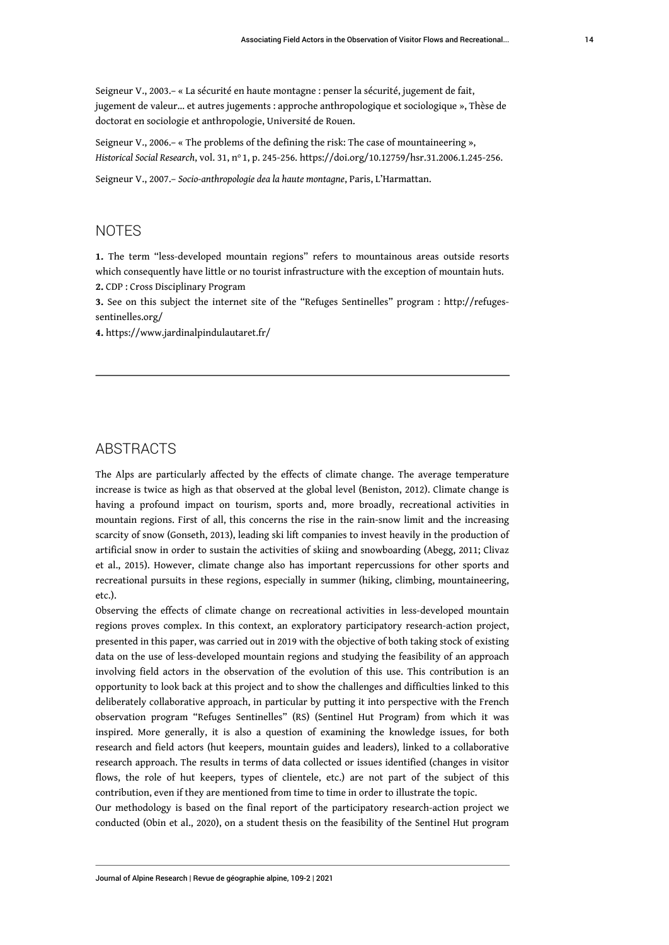Seigneur V., 2003.– « La sécurité en haute montagne : penser la sécurité, jugement de fait, jugement de valeur… et autres jugements : approche anthropologique et sociologique », Thèse de doctorat en sociologie et anthropologie, Université de Rouen.

Seigneur V., 2006.– « The problems of the defining the risk: The case of mountaineering », *Historical Social Research*, vol. 31, n<sup>o</sup>1, p. 245‑256. [https://doi.org/10.12759/hsr.31.2006.1.245-256.](https://doi.org/10.12759/hsr.31.2006.1.245-256)

Seigneur V., 2007.– *Socio-anthropologie dea la haute montagne*, Paris, L'Harmattan.

### NOTES

<span id="page-14-0"></span>**[1.](#page-2-0)** The term "less-developed mountain regions" refers to mountainous areas outside resorts which consequently have little or no tourist infrastructure with the exception of mountain huts. **[2.](#page-6-0)** CDP : Cross Disciplinary Program

<span id="page-14-2"></span><span id="page-14-1"></span>**[3.](#page-7-0)** See on this subject the internet site of the "Refuges Sentinelles" program : [http://refuges](http://refuges-sentinelles.org/)[sentinelles.org/](http://refuges-sentinelles.org/)

<span id="page-14-3"></span>**[4.](#page-7-1)** https://[www.jardinalpindulautaret.fr/](http://www.jardinalpindulautaret.fr/)

### ABSTRACTS

The Alps are particularly affected by the effects of climate change. The average temperature increase is twice as high as that observed at the global level (Beniston, 2012). Climate change is having a profound impact on tourism, sports and, more broadly, recreational activities in mountain regions. First of all, this concerns the rise in the rain-snow limit and the increasing scarcity of snow (Gonseth, 2013), leading ski lift companies to invest heavily in the production of artificial snow in order to sustain the activities of skiing and snowboarding (Abegg, 2011; Clivaz et al., 2015). However, climate change also has important repercussions for other sports and recreational pursuits in these regions, especially in summer (hiking, climbing, mountaineering, etc.).

Observing the effects of climate change on recreational activities in less-developed mountain regions proves complex. In this context, an exploratory participatory research-action project, presented in this paper, was carried out in 2019 with the objective of both taking stock of existing data on the use of less-developed mountain regions and studying the feasibility of an approach involving field actors in the observation of the evolution of this use. This contribution is an opportunity to look back at this project and to show the challenges and difficulties linked to this deliberately collaborative approach, in particular by putting it into perspective with the French observation program "Refuges Sentinelles" (RS) (Sentinel Hut Program) from which it was inspired. More generally, it is also a question of examining the knowledge issues, for both research and field actors (hut keepers, mountain guides and leaders), linked to a collaborative research approach. The results in terms of data collected or issues identified (changes in visitor flows, the role of hut keepers, types of clientele, etc.) are not part of the subject of this contribution, even if they are mentioned from time to time in order to illustrate the topic.

Our methodology is based on the final report of the participatory research-action project we conducted (Obin et al., 2020), on a student thesis on the feasibility of the Sentinel Hut program